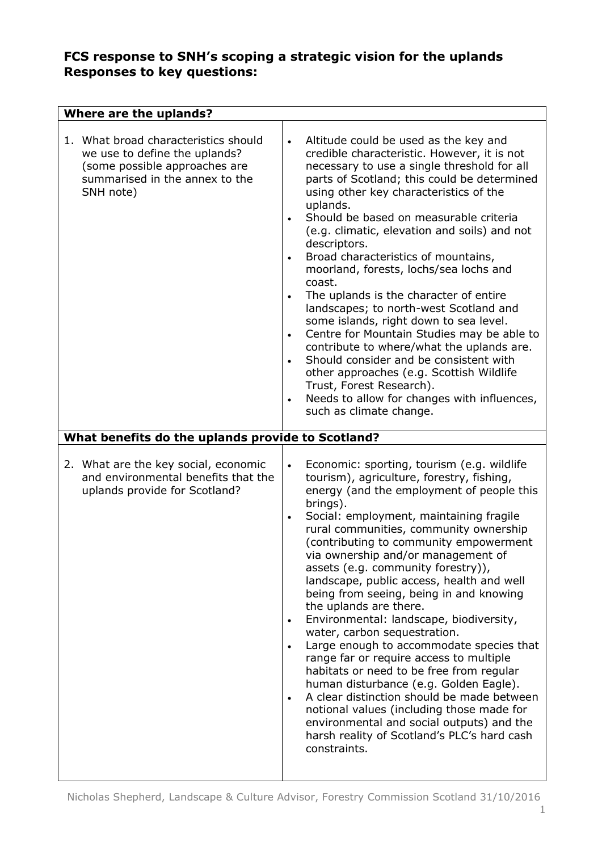| <b>Where are the uplands?</b>                                                                                                                                                                              |                                                                                                                                                                                                                                                                                                                                                                                                                                                                                                                                                                                                                                                                                                                                                                                                                                                                                                                                                                                                               |  |  |  |
|------------------------------------------------------------------------------------------------------------------------------------------------------------------------------------------------------------|---------------------------------------------------------------------------------------------------------------------------------------------------------------------------------------------------------------------------------------------------------------------------------------------------------------------------------------------------------------------------------------------------------------------------------------------------------------------------------------------------------------------------------------------------------------------------------------------------------------------------------------------------------------------------------------------------------------------------------------------------------------------------------------------------------------------------------------------------------------------------------------------------------------------------------------------------------------------------------------------------------------|--|--|--|
| 1. What broad characteristics should<br>we use to define the uplands?<br>(some possible approaches are<br>summarised in the annex to the<br>SNH note)<br>What benefits do the uplands provide to Scotland? | Altitude could be used as the key and<br>$\bullet$<br>credible characteristic. However, it is not<br>necessary to use a single threshold for all<br>parts of Scotland; this could be determined<br>using other key characteristics of the<br>uplands.<br>Should be based on measurable criteria<br>$\bullet$<br>(e.g. climatic, elevation and soils) and not<br>descriptors.<br>Broad characteristics of mountains,<br>$\bullet$<br>moorland, forests, lochs/sea lochs and<br>coast.<br>The uplands is the character of entire<br>$\bullet$<br>landscapes; to north-west Scotland and<br>some islands, right down to sea level.<br>Centre for Mountain Studies may be able to<br>$\bullet$<br>contribute to where/what the uplands are.<br>Should consider and be consistent with<br>$\bullet$<br>other approaches (e.g. Scottish Wildlife<br>Trust, Forest Research).<br>Needs to allow for changes with influences,<br>$\bullet$<br>such as climate change.                                                 |  |  |  |
| 2. What are the key social, economic<br>and environmental benefits that the<br>uplands provide for Scotland?                                                                                               | Economic: sporting, tourism (e.g. wildlife<br>$\bullet$<br>tourism), agriculture, forestry, fishing,<br>energy (and the employment of people this<br>brings).<br>Social: employment, maintaining fragile<br>$\bullet$<br>rural communities, community ownership<br>(contributing to community empowerment<br>via ownership and/or management of<br>assets (e.g. community forestry)),<br>landscape, public access, health and well<br>being from seeing, being in and knowing<br>the uplands are there.<br>Environmental: landscape, biodiversity,<br>$\bullet$<br>water, carbon sequestration.<br>Large enough to accommodate species that<br>$\bullet$<br>range far or require access to multiple<br>habitats or need to be free from regular<br>human disturbance (e.g. Golden Eagle).<br>A clear distinction should be made between<br>$\bullet$<br>notional values (including those made for<br>environmental and social outputs) and the<br>harsh reality of Scotland's PLC's hard cash<br>constraints. |  |  |  |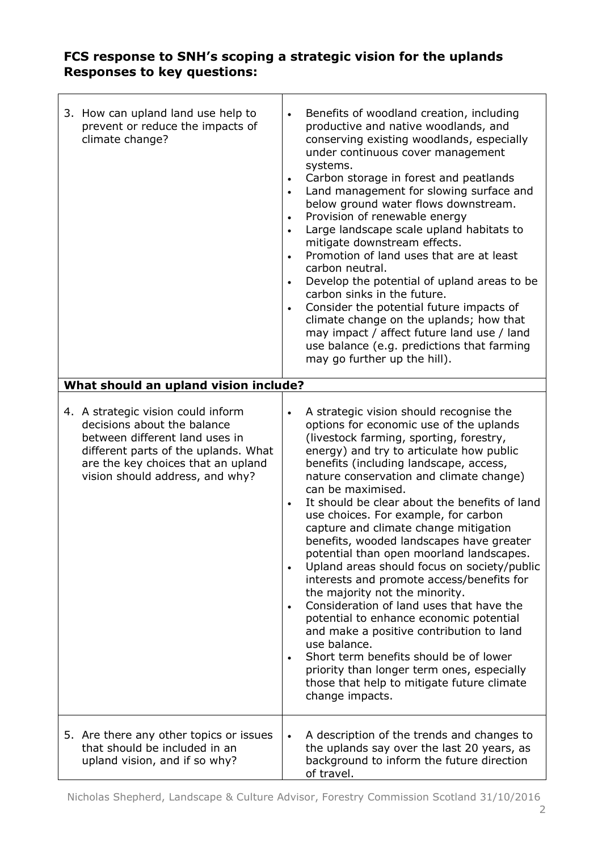| 3. How can upland land use help to<br>prevent or reduce the impacts of<br>climate change?                                                                                                                            | $\bullet$<br>$\bullet$<br>$\bullet$<br>$\bullet$<br>$\bullet$<br>$\bullet$<br>$\bullet$<br>$\bullet$ | Benefits of woodland creation, including<br>productive and native woodlands, and<br>conserving existing woodlands, especially<br>under continuous cover management<br>systems.<br>Carbon storage in forest and peatlands<br>Land management for slowing surface and<br>below ground water flows downstream.<br>Provision of renewable energy<br>Large landscape scale upland habitats to<br>mitigate downstream effects.<br>Promotion of land uses that are at least<br>carbon neutral.<br>Develop the potential of upland areas to be<br>carbon sinks in the future.<br>Consider the potential future impacts of<br>climate change on the uplands; how that<br>may impact / affect future land use / land<br>use balance (e.g. predictions that farming<br>may go further up the hill).                                                                                                                                                                |
|----------------------------------------------------------------------------------------------------------------------------------------------------------------------------------------------------------------------|------------------------------------------------------------------------------------------------------|---------------------------------------------------------------------------------------------------------------------------------------------------------------------------------------------------------------------------------------------------------------------------------------------------------------------------------------------------------------------------------------------------------------------------------------------------------------------------------------------------------------------------------------------------------------------------------------------------------------------------------------------------------------------------------------------------------------------------------------------------------------------------------------------------------------------------------------------------------------------------------------------------------------------------------------------------------|
| What should an upland vision include?                                                                                                                                                                                |                                                                                                      |                                                                                                                                                                                                                                                                                                                                                                                                                                                                                                                                                                                                                                                                                                                                                                                                                                                                                                                                                         |
| 4. A strategic vision could inform<br>decisions about the balance<br>between different land uses in<br>different parts of the uplands. What<br>are the key choices that an upland<br>vision should address, and why? | $\bullet$<br>$\bullet$<br>$\bullet$<br>$\bullet$<br>$\bullet$                                        | A strategic vision should recognise the<br>options for economic use of the uplands<br>(livestock farming, sporting, forestry,<br>energy) and try to articulate how public<br>benefits (including landscape, access,<br>nature conservation and climate change)<br>can be maximised.<br>It should be clear about the benefits of land<br>use choices. For example, for carbon<br>capture and climate change mitigation<br>benefits, wooded landscapes have greater<br>potential than open moorland landscapes.<br>Upland areas should focus on society/public<br>interests and promote access/benefits for<br>the majority not the minority.<br>Consideration of land uses that have the<br>potential to enhance economic potential<br>and make a positive contribution to land<br>use balance.<br>Short term benefits should be of lower<br>priority than longer term ones, especially<br>those that help to mitigate future climate<br>change impacts. |
| 5. Are there any other topics or issues<br>that should be included in an<br>upland vision, and if so why?                                                                                                            | $\bullet$                                                                                            | A description of the trends and changes to<br>the uplands say over the last 20 years, as<br>background to inform the future direction<br>of travel.                                                                                                                                                                                                                                                                                                                                                                                                                                                                                                                                                                                                                                                                                                                                                                                                     |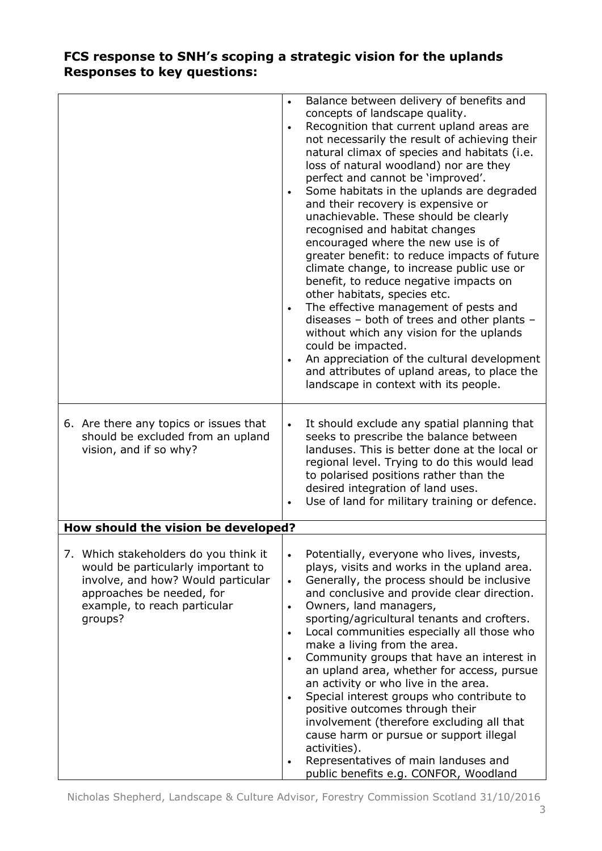|                                                                                                                                                                                           | Balance between delivery of benefits and<br>$\bullet$<br>concepts of landscape quality.<br>Recognition that current upland areas are<br>$\bullet$<br>not necessarily the result of achieving their<br>natural climax of species and habitats (i.e.<br>loss of natural woodland) nor are they<br>perfect and cannot be 'improved'.<br>Some habitats in the uplands are degraded<br>$\bullet$<br>and their recovery is expensive or<br>unachievable. These should be clearly<br>recognised and habitat changes<br>encouraged where the new use is of<br>greater benefit: to reduce impacts of future<br>climate change, to increase public use or<br>benefit, to reduce negative impacts on<br>other habitats, species etc.<br>The effective management of pests and<br>$\bullet$<br>diseases - both of trees and other plants -<br>without which any vision for the uplands<br>could be impacted.<br>An appreciation of the cultural development<br>$\bullet$<br>and attributes of upland areas, to place the<br>landscape in context with its people. |  |  |  |
|-------------------------------------------------------------------------------------------------------------------------------------------------------------------------------------------|-------------------------------------------------------------------------------------------------------------------------------------------------------------------------------------------------------------------------------------------------------------------------------------------------------------------------------------------------------------------------------------------------------------------------------------------------------------------------------------------------------------------------------------------------------------------------------------------------------------------------------------------------------------------------------------------------------------------------------------------------------------------------------------------------------------------------------------------------------------------------------------------------------------------------------------------------------------------------------------------------------------------------------------------------------|--|--|--|
| 6. Are there any topics or issues that<br>should be excluded from an upland<br>vision, and if so why?                                                                                     | It should exclude any spatial planning that<br>seeks to prescribe the balance between<br>landuses. This is better done at the local or<br>regional level. Trying to do this would lead<br>to polarised positions rather than the<br>desired integration of land uses.<br>Use of land for military training or defence.                                                                                                                                                                                                                                                                                                                                                                                                                                                                                                                                                                                                                                                                                                                                |  |  |  |
| How should the vision be developed?                                                                                                                                                       |                                                                                                                                                                                                                                                                                                                                                                                                                                                                                                                                                                                                                                                                                                                                                                                                                                                                                                                                                                                                                                                       |  |  |  |
| 7. Which stakeholders do you think it<br>would be particularly important to<br>involve, and how? Would particular<br>approaches be needed, for<br>example, to reach particular<br>groups? | Potentially, everyone who lives, invests,<br>$\bullet$<br>plays, visits and works in the upland area.<br>Generally, the process should be inclusive<br>$\bullet$<br>and conclusive and provide clear direction.<br>Owners, land managers,<br>$\bullet$<br>sporting/agricultural tenants and crofters.<br>Local communities especially all those who<br>$\bullet$<br>make a living from the area.<br>Community groups that have an interest in<br>$\bullet$<br>an upland area, whether for access, pursue<br>an activity or who live in the area.<br>Special interest groups who contribute to<br>$\bullet$<br>positive outcomes through their<br>involvement (therefore excluding all that<br>cause harm or pursue or support illegal<br>activities).<br>Representatives of main landuses and<br>$\bullet$<br>public benefits e.g. CONFOR, Woodland                                                                                                                                                                                                   |  |  |  |